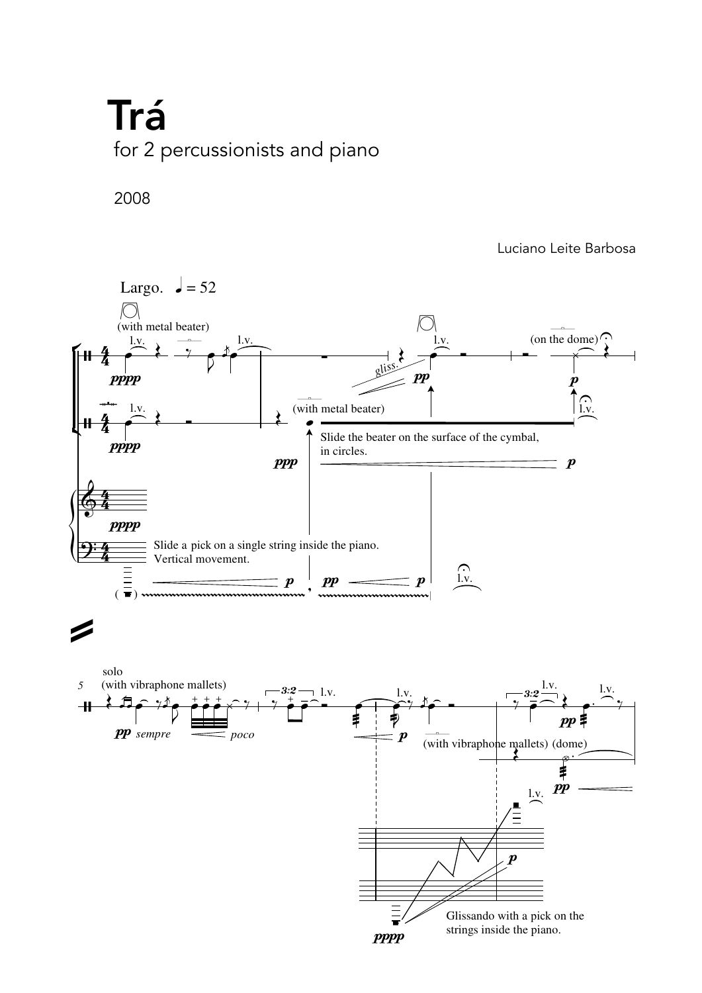## for 2 percussionists and piano<br>*F* Trá

2008